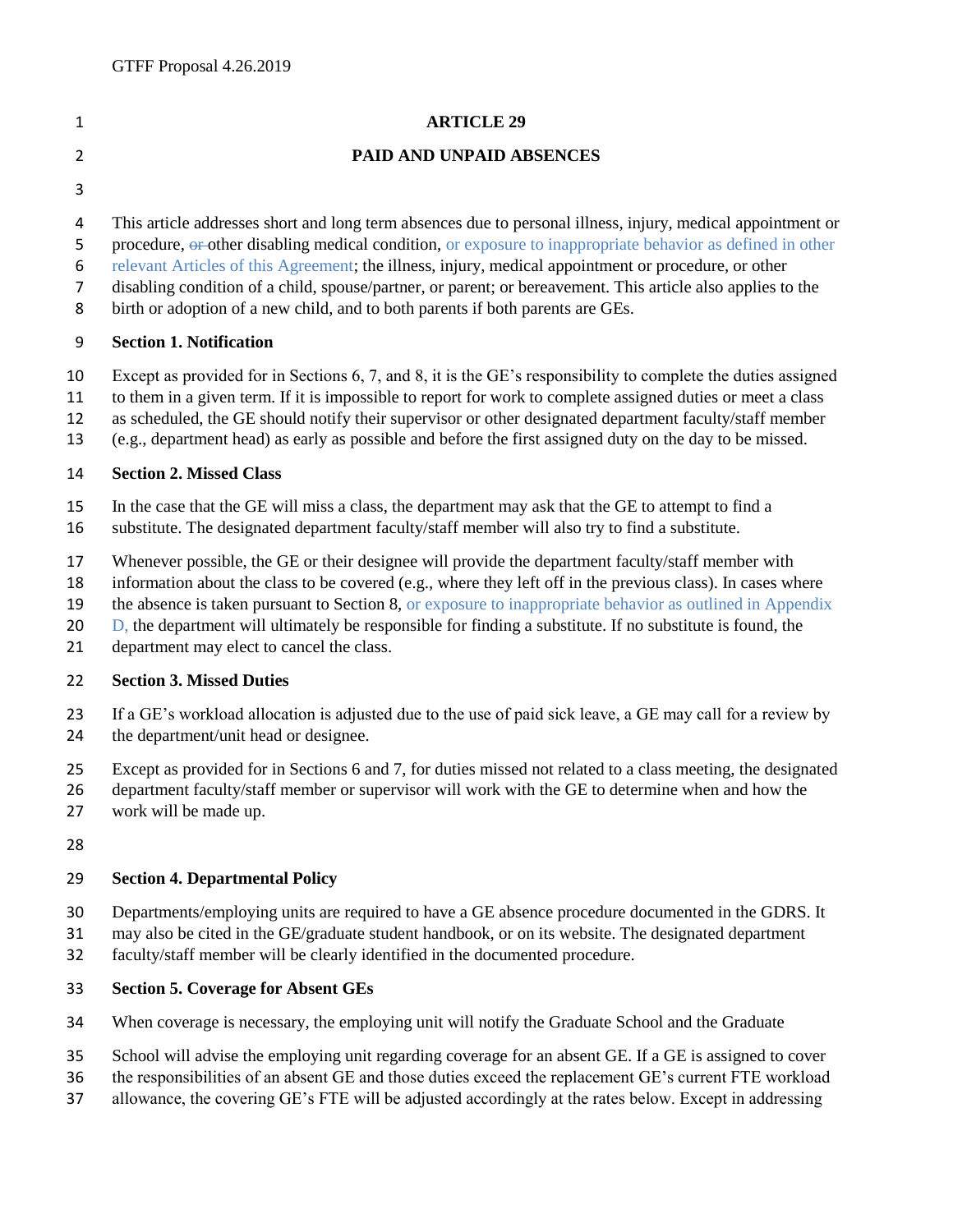| $\mathbf{1}$                       | <b>ARTICLE 29</b>                                                                                                                                                                                                                                                                                                                                                                                                                                                                                                                  |
|------------------------------------|------------------------------------------------------------------------------------------------------------------------------------------------------------------------------------------------------------------------------------------------------------------------------------------------------------------------------------------------------------------------------------------------------------------------------------------------------------------------------------------------------------------------------------|
| $\overline{2}$                     | PAID AND UNPAID ABSENCES                                                                                                                                                                                                                                                                                                                                                                                                                                                                                                           |
| 3                                  |                                                                                                                                                                                                                                                                                                                                                                                                                                                                                                                                    |
| 4<br>5<br>6<br>$\overline{7}$<br>8 | This article addresses short and long term absences due to personal illness, injury, medical appointment or<br>procedure, or other disabling medical condition, or exposure to inappropriate behavior as defined in other<br>relevant Articles of this Agreement; the illness, injury, medical appointment or procedure, or other<br>disabling condition of a child, spouse/partner, or parent; or bereavement. This article also applies to the<br>birth or adoption of a new child, and to both parents if both parents are GEs. |
| 9                                  | <b>Section 1. Notification</b>                                                                                                                                                                                                                                                                                                                                                                                                                                                                                                     |
| 10<br>11<br>12<br>13               | Except as provided for in Sections 6, 7, and 8, it is the GE's responsibility to complete the duties assigned<br>to them in a given term. If it is impossible to report for work to complete assigned duties or meet a class<br>as scheduled, the GE should notify their supervisor or other designated department faculty/staff member<br>(e.g., department head) as early as possible and before the first assigned duty on the day to be missed.                                                                                |
| 14                                 | <b>Section 2. Missed Class</b>                                                                                                                                                                                                                                                                                                                                                                                                                                                                                                     |
| 15<br>16                           | In the case that the GE will miss a class, the department may ask that the GE to attempt to find a<br>substitute. The designated department faculty/staff member will also try to find a substitute.                                                                                                                                                                                                                                                                                                                               |
| 17<br>18<br>19<br>20<br>21         | Whenever possible, the GE or their designee will provide the department faculty/staff member with<br>information about the class to be covered (e.g., where they left off in the previous class). In cases where<br>the absence is taken pursuant to Section 8, or exposure to inappropriate behavior as outlined in Appendix<br>D, the department will ultimately be responsible for finding a substitute. If no substitute is found, the<br>department may elect to cancel the class.                                            |
| 22                                 | <b>Section 3. Missed Duties</b>                                                                                                                                                                                                                                                                                                                                                                                                                                                                                                    |
| 23<br>24                           | If a GE's workload allocation is adjusted due to the use of paid sick leave, a GE may call for a review by<br>the department/unit head or designee.                                                                                                                                                                                                                                                                                                                                                                                |
| 25<br>26<br>27                     | Except as provided for in Sections 6 and 7, for duties missed not related to a class meeting, the designated<br>department faculty/staff member or supervisor will work with the GE to determine when and how the<br>work will be made up.                                                                                                                                                                                                                                                                                         |
| 28                                 |                                                                                                                                                                                                                                                                                                                                                                                                                                                                                                                                    |
| 29                                 | <b>Section 4. Departmental Policy</b>                                                                                                                                                                                                                                                                                                                                                                                                                                                                                              |
| 30<br>31<br>32                     | Departments/employing units are required to have a GE absence procedure documented in the GDRS. It<br>may also be cited in the GE/graduate student handbook, or on its website. The designated department<br>faculty/staff member will be clearly identified in the documented procedure.                                                                                                                                                                                                                                          |
| 33                                 | <b>Section 5. Coverage for Absent GEs</b>                                                                                                                                                                                                                                                                                                                                                                                                                                                                                          |

- When coverage is necessary, the employing unit will notify the Graduate School and the Graduate
- School will advise the employing unit regarding coverage for an absent GE. If a GE is assigned to cover
- the responsibilities of an absent GE and those duties exceed the replacement GE's current FTE workload
- allowance, the covering GE's FTE will be adjusted accordingly at the rates below. Except in addressing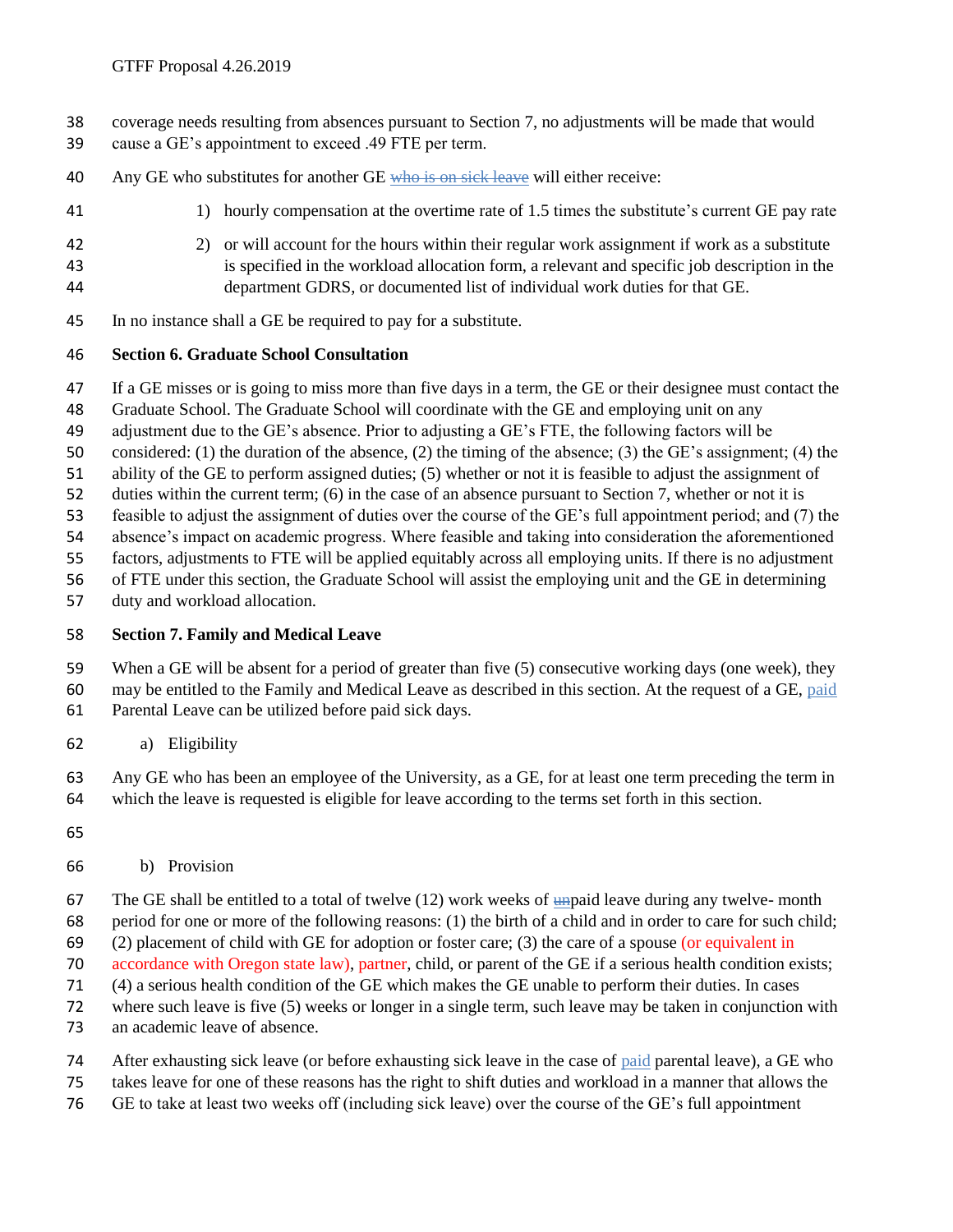- coverage needs resulting from absences pursuant to Section 7, no adjustments will be made that would
- cause a GE's appointment to exceed .49 FTE per term.
- 40 Any GE who substitutes for another GE who is on sick leave will either receive:
- 1) hourly compensation at the overtime rate of 1.5 times the substitute's current GE pay rate
- 2) or will account for the hours within their regular work assignment if work as a substitute is specified in the workload allocation form, a relevant and specific job description in the department GDRS, or documented list of individual work duties for that GE.
- In no instance shall a GE be required to pay for a substitute.

## **Section 6. Graduate School Consultation**

- If a GE misses or is going to miss more than five days in a term, the GE or their designee must contact the
- Graduate School. The Graduate School will coordinate with the GE and employing unit on any
- adjustment due to the GE's absence. Prior to adjusting a GE's FTE, the following factors will be
- considered: (1) the duration of the absence, (2) the timing of the absence; (3) the GE's assignment; (4) the
- ability of the GE to perform assigned duties; (5) whether or not it is feasible to adjust the assignment of
- duties within the current term; (6) in the case of an absence pursuant to Section 7, whether or not it is
- feasible to adjust the assignment of duties over the course of the GE's full appointment period; and (7) the
- absence's impact on academic progress. Where feasible and taking into consideration the aforementioned
- factors, adjustments to FTE will be applied equitably across all employing units. If there is no adjustment
- of FTE under this section, the Graduate School will assist the employing unit and the GE in determining
- duty and workload allocation.

## **Section 7. Family and Medical Leave**

- When a GE will be absent for a period of greater than five (5) consecutive working days (one week), they
- may be entitled to the Family and Medical Leave as described in this section. At the request of a GE, paid Parental Leave can be utilized before paid sick days.
- a) Eligibility

 Any GE who has been an employee of the University, as a GE, for at least one term preceding the term in which the leave is requested is eligible for leave according to the terms set forth in this section.

- 
- b) Provision
- 67 The GE shall be entitled to a total of twelve  $(12)$  work weeks of unpaid leave during any twelve- month
- period for one or more of the following reasons: (1) the birth of a child and in order to care for such child;
- (2) placement of child with GE for adoption or foster care; (3) the care of a spouse (or equivalent in
- accordance with Oregon state law), partner, child, or parent of the GE if a serious health condition exists;
- (4) a serious health condition of the GE which makes the GE unable to perform their duties. In cases
- where such leave is five (5) weeks or longer in a single term, such leave may be taken in conjunction with
- an academic leave of absence.
- After exhausting sick leave (or before exhausting sick leave in the case of paid parental leave), a GE who
- takes leave for one of these reasons has the right to shift duties and workload in a manner that allows the
- GE to take at least two weeks off (including sick leave) over the course of the GE's full appointment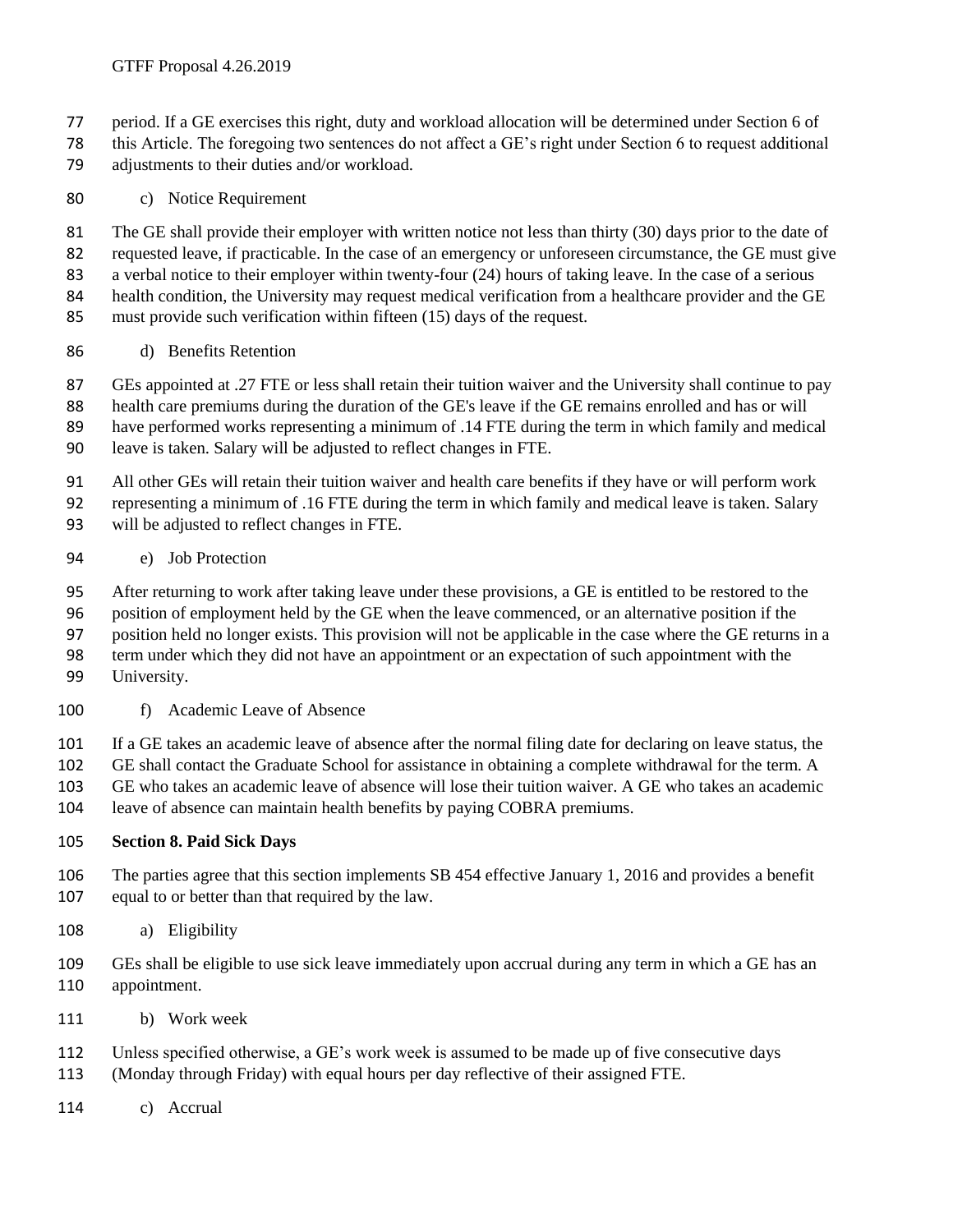- period. If a GE exercises this right, duty and workload allocation will be determined under Section 6 of
- this Article. The foregoing two sentences do not affect a GE's right under Section 6 to request additional adjustments to their duties and/or workload.
- c) Notice Requirement

 The GE shall provide their employer with written notice not less than thirty (30) days prior to the date of requested leave, if practicable. In the case of an emergency or unforeseen circumstance, the GE must give a verbal notice to their employer within twenty-four (24) hours of taking leave. In the case of a serious health condition, the University may request medical verification from a healthcare provider and the GE must provide such verification within fifteen (15) days of the request.

d) Benefits Retention

87 GEs appointed at .27 FTE or less shall retain their tuition waiver and the University shall continue to pay health care premiums during the duration of the GE's leave if the GE remains enrolled and has or will have performed works representing a minimum of .14 FTE during the term in which family and medical

leave is taken. Salary will be adjusted to reflect changes in FTE.

 All other GEs will retain their tuition waiver and health care benefits if they have or will perform work representing a minimum of .16 FTE during the term in which family and medical leave is taken. Salary

- will be adjusted to reflect changes in FTE.
- e) Job Protection

After returning to work after taking leave under these provisions, a GE is entitled to be restored to the

position of employment held by the GE when the leave commenced, or an alternative position if the

position held no longer exists. This provision will not be applicable in the case where the GE returns in a

term under which they did not have an appointment or an expectation of such appointment with the

- University.
- f) Academic Leave of Absence

If a GE takes an academic leave of absence after the normal filing date for declaring on leave status, the

GE shall contact the Graduate School for assistance in obtaining a complete withdrawal for the term. A

GE who takes an academic leave of absence will lose their tuition waiver. A GE who takes an academic

leave of absence can maintain health benefits by paying COBRA premiums.

## **Section 8. Paid Sick Days**

- The parties agree that this section implements SB 454 effective January 1, 2016 and provides a benefit equal to or better than that required by the law.
- a) Eligibility
- GEs shall be eligible to use sick leave immediately upon accrual during any term in which a GE has an appointment.
- b) Work week
- Unless specified otherwise, a GE's work week is assumed to be made up of five consecutive days
- (Monday through Friday) with equal hours per day reflective of their assigned FTE.
- c) Accrual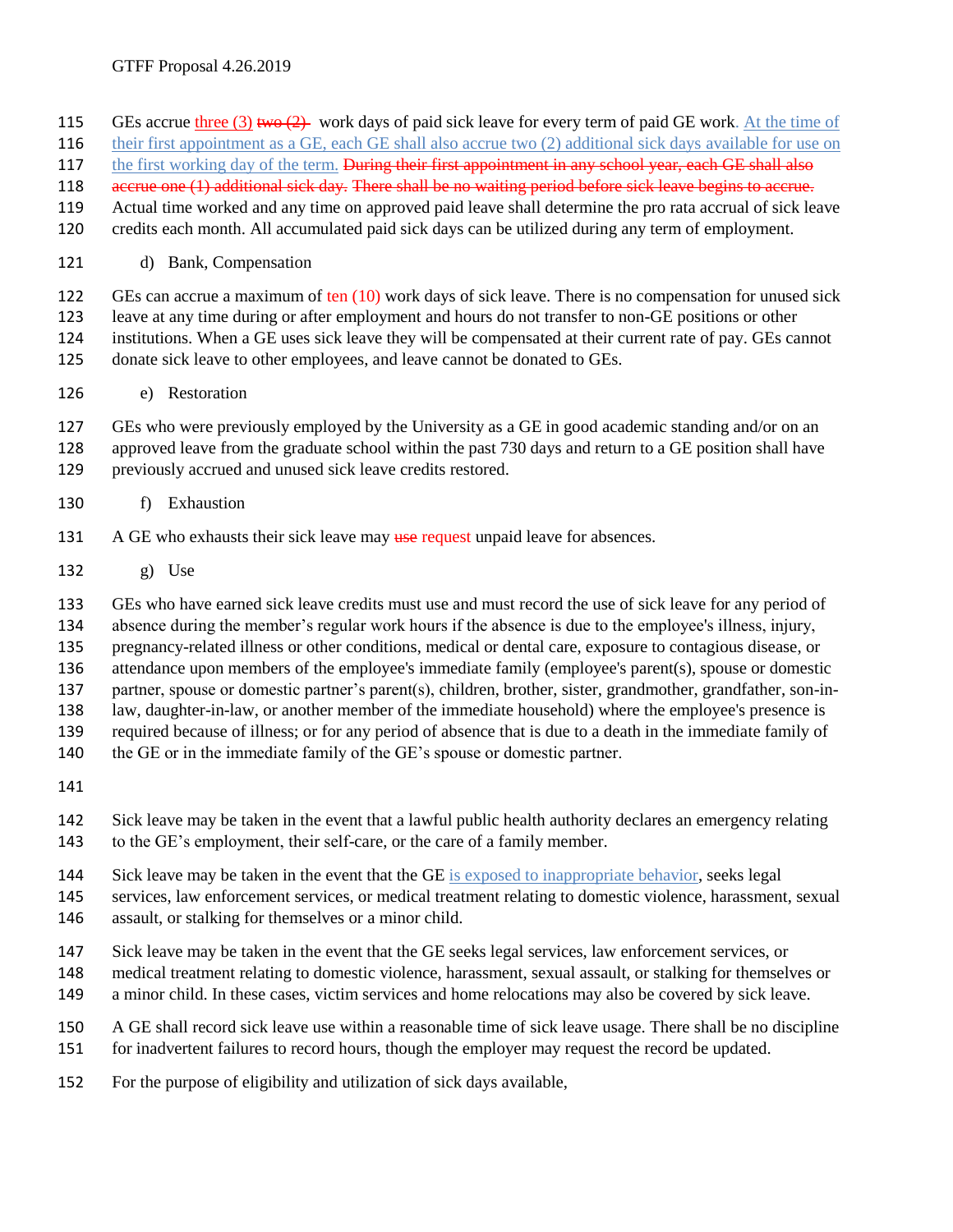## GTFF Proposal 4.26.2019

- 115 GEs accrue three (3) two  $(2)$  work days of paid sick leave for every term of paid GE work. At the time of
- their first appointment as a GE, each GE shall also accrue two (2) additional sick days available for use on
- 117 the first working day of the term. During their first appointment in any school year, each GE shall also
- 118 accrue one (1) additional sick day. There shall be no waiting period before sick leave begins to accrue.
- Actual time worked and any time on approved paid leave shall determine the pro rata accrual of sick leave
- credits each month. All accumulated paid sick days can be utilized during any term of employment.
- d) Bank, Compensation

GEs can accrue a maximum of ten (10) work days of sick leave. There is no compensation for unused sick

leave at any time during or after employment and hours do not transfer to non-GE positions or other

- institutions. When a GE uses sick leave they will be compensated at their current rate of pay. GEs cannot donate sick leave to other employees, and leave cannot be donated to GEs.
- e) Restoration

GEs who were previously employed by the University as a GE in good academic standing and/or on an

- approved leave from the graduate school within the past 730 days and return to a GE position shall have previously accrued and unused sick leave credits restored.
- f) Exhaustion
- 131 A GE who exhausts their sick leave may use request unpaid leave for absences.
- g) Use

GEs who have earned sick leave credits must use and must record the use of sick leave for any period of

absence during the member's regular work hours if the absence is due to the employee's illness, injury,

- pregnancy-related illness or other conditions, medical or dental care, exposure to contagious disease, or
- attendance upon members of the employee's immediate family (employee's parent(s), spouse or domestic
- partner, spouse or domestic partner's parent(s), children, brother, sister, grandmother, grandfather, son-in-
- law, daughter-in-law, or another member of the immediate household) where the employee's presence is
- required because of illness; or for any period of absence that is due to a death in the immediate family of
- 140 the GE or in the immediate family of the GE's spouse or domestic partner.
- 
- Sick leave may be taken in the event that a lawful public health authority declares an emergency relating to the GE's employment, their self-care, or the care of a family member.
- Sick leave may be taken in the event that the GE is exposed to inappropriate behavior, seeks legal
- services, law enforcement services, or medical treatment relating to domestic violence, harassment, sexual assault, or stalking for themselves or a minor child.
- Sick leave may be taken in the event that the GE seeks legal services, law enforcement services, or
- medical treatment relating to domestic violence, harassment, sexual assault, or stalking for themselves or
- a minor child. In these cases, victim services and home relocations may also be covered by sick leave.
- A GE shall record sick leave use within a reasonable time of sick leave usage. There shall be no discipline for inadvertent failures to record hours, though the employer may request the record be updated.
- For the purpose of eligibility and utilization of sick days available,